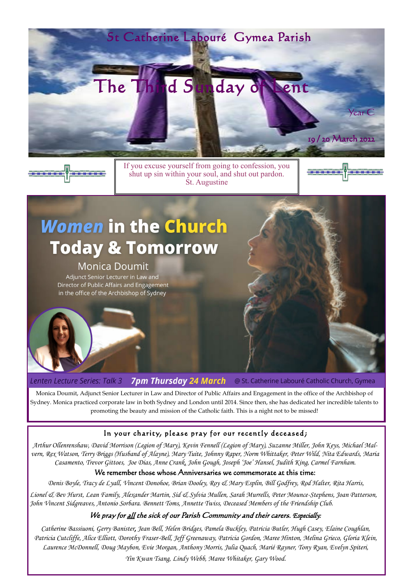If you excuse yourself from going to confession, you shut up sin within your soul, and shut out pardon. St. Augustine



# **Women in the Church Today & Tomorrow**

## **Monica Doumit**

Adjunct Senior Lecturer in Law and Director of Public Affairs and Engagement in the office of the Archbishop of Sydney



**7pm Thursday 24 March** Lenten Lecture Series: Talk 3 @ St. Catherine Labouré Catholic Church, Gymea

Monica Doumit, Adjunct Senior Lecturer in Law and Director of Public Affairs and Engagement in the office of the Archbishop of Sydney. Monica practiced corporate law in both Sydney and London until 2014. Since then, she has dedicated her incredible talents to promoting the beauty and mission of the Catholic faith. This is a night not to be missed!

## In your charity, please pray for our recently deceased;





*Arthur Ollenrenshaw, David Morrison (Legion of Mary), Kevin Fennell (Legion of Mary), Suzanne Miller, John Keys, Michael Malvern, Rex Watson, Terry Briggs (Husband of Alayne), Mary Tuite, Johnny Raper, Norm Whittaker, Peter Wild, Nita Edwards, Maria Casamento, Trevor Gittoes, Joe Dias, Anne Crank, John Gough, Joseph 'Joe' Hansel, Judith King, Carmel Farnham.* We remember those whose Anniversaries we commemorate at this time:

*Denis Boyle, Tracy de Lyall, Vincent Donohoe, Brian Dooley, Roy & Mary Esplin, Bill Godfrey, Rod Halter, Rita Harris, Lionel & Bev Hurst, Lean Family, Alexander Martin, Sid & Sylvia Mullen, Sarah Murrells, Peter Mounce-Stephens, Joan Patterson, John Vincent Sidgreaves, Antonio Sorbara. Bennett Toms, Annette Twiss, Deceased Members of the Friendship Club.*

#### We pray for <u>all</u> the sick of our Parish Community and their carers. *Especially*:

*Catherine Bassiuoni, Gerry Banister, Jean Bell, Helen Bridges, Pamela Buckley, Patricia Butler, Hugh Casey, Elaine Coughlan, Patricia Cutcliffe, Alice Elliott, Dorothy Fraser-Bell, Jeff Greenaway, Patricia Gordon, Maree Hinton, Melina Grieco, Gloria Klein, Laurence McDonnell, Doug Maybon, Evie Morgan, Anthony Morris, Julia Quach, Marié Rayner, Tony Ryan, Evelyn Spiteri, Yin Kwan Tsang, Lindy Webb, Maree Whitaker, Gary Wood.*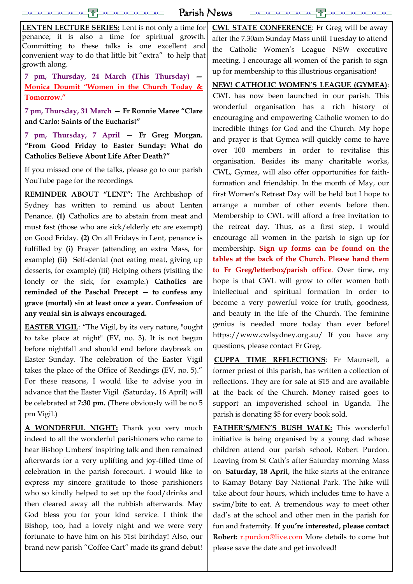at the Easter Vigil (Saturday, 16 April) will be celebrated at **7:30 pm.** (There obviously will be no 5 pm Vigil.)

**A WONDERFUL NIGHT:** Thank you very much indeed to all the wonderful parishioners who came to

hear Bishop Umbers' inspiring talk and then remained afterwards for a very uplifting and joy-filled time of celebration in the parish forecourt. I would like to express my sincere gratitude to those parishioners who so kindly helped to set up the food/drinks and then cleared away all the rubbish afterwards. May God bless you for your kind service. I think the Bishop, too, had a lovely night and we were very fortunate to have him on his 51st birthday! Also, our brand new parish "Coffee Cart" made its grand debut!

| Parish News                                                 |                                                           |
|-------------------------------------------------------------|-----------------------------------------------------------|
| <b>LENTEN LECTURE SERIES:</b> Lent is not only a time for   | <b>CWL STATE CONFERENCE:</b> Fr Greg will be away         |
| penance; it is also a time for spiritual growth.            | after the 7.30am Sunday Mass until Tuesday to attend      |
| Committing to these talks is one excellent and              | the Catholic Women's League NSW executive                 |
| convenient way to do that little bit "extra" to help that   | meeting. I encourage all women of the parish to sign      |
| growth along.                                               | up for membership to this illustrious organisation!       |
| 7 pm, Thursday, 24 March (This Thursday)                    | <b>NEW! CATHOLIC WOMEN'S LEAGUE (GYMEA):</b>              |
| Monica Doumit "Women in the Church Today &                  | CWL has now been launched in our parish. This             |
| Tomorrow."                                                  | wonderful organisation has a rich history of              |
| 7 pm, Thursday, 31 March - Fr Ronnie Maree "Clare           | encouraging and empowering Catholic women to do           |
| and Carlo: Saints of the Eucharist"                         | incredible things for God and the Church. My hope         |
| 7 pm, Thursday, 7 April - Fr Greg Morgan.                   | and prayer is that Gymea will quickly come to have        |
| "From Good Friday to Easter Sunday: What do                 | over 100 members in order to revitalise this              |
| <b>Catholics Believe About Life After Death?"</b>           | organisation. Besides its many charitable works,          |
| If you missed one of the talks, please go to our parish     | CWL, Gymea, will also offer opportunities for faith-      |
| YouTube page for the recordings.                            | formation and friendship. In the month of May, our        |
| <b>REMINDER ABOUT "LENT":</b> The Archbishop of             | first Women's Retreat Day will be held but I hope to      |
| Sydney has written to remind us about Lenten                | arrange a number of other events before then.             |
| Penance. (1) Catholics are to abstain from meat and         | Membership to CWL will afford a free invitation to        |
| must fast (those who are sick/elderly etc are exempt)       | the retreat day. Thus, as a first step, I would           |
| on Good Friday. (2) On all Fridays in Lent, penance is      | encourage all women in the parish to sign up for          |
| fulfilled by (i) Prayer (attending an extra Mass, for       | membership. Sign up forms can be found on the             |
| example) (ii) Self-denial (not eating meat, giving up       | tables at the back of the Church. Please hand them        |
| desserts, for example) (iii) Helping others (visiting the   | to Fr Greg/letterbox/parish office. Over time, my         |
| lonely or the sick, for example.) Catholics are             | hope is that CWL will grow to offer women both            |
| reminded of the Paschal Precept $-$ to confess any          | intellectual and spiritual formation in order to          |
| grave (mortal) sin at least once a year. Confession of      | become a very powerful voice for truth, goodness,         |
| any venial sin is always encouraged.                        | and beauty in the life of the Church. The feminine        |
| <b>EASTER VIGIL:</b> "The Vigil, by its very nature, "ought | genius is needed more today than ever before!             |
| to take place at night" (EV, no. 3). It is not begun        | https://www.cwlsydney.org.au/ If you have any             |
| before nightfall and should end before daybreak on          | questions, please contact Fr Greg.                        |
| Easter Sunday. The celebration of the Easter Vigil          | <b>CUPPA TIME REFLECTIONS:</b> Fr Maunsell, a             |
| takes the place of the Office of Readings (EV, no. 5)."     | former priest of this parish, has written a collection of |
| For these reasons, I would like to advise you in            | reflections. They are for sale at \$15 and are available  |
| advance that the Easter Vigil (Saturday, 16 April) will     | at the back of the Church. Money raised goes to           |

support an impoverished school in Uganda. The

parish is donating \$5 for every book sold.

**FATHER'S/MEN'S BUSH WALK:** This wonderful initiative is being organised by a young dad whose children attend our parish school, Robert Purdon. Leaving from St Cath's after Saturday morning Mass on **Saturday, 18 April**, the hike starts at the entrance to Kamay Botany Bay National Park. The hike will take about four hours, which includes time to have a swim/bite to eat. A tremendous way to meet other dad's at the school and other men in the parish for fun and fraternity. **If you're interested, please contact Robert:** r.purdon@live.com More details to come but please save the date and get involved!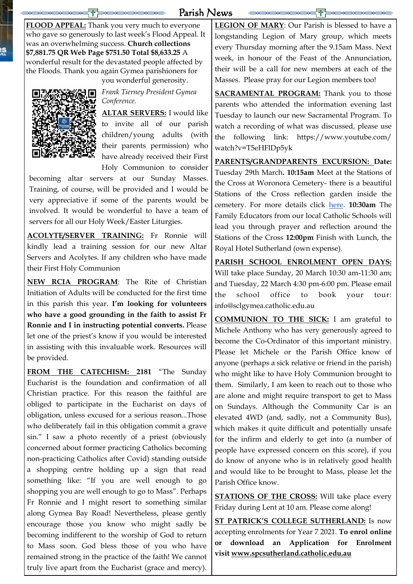## Parish News

**FLOOD APPEAL:** Thank you very much to everyone who gave so generously to last week's Flood Appeal. It was an overwhelming success. **Church collections \$7,881.75 QR Web Page \$751.50 Total \$8,633.25** A wonderful result for the devastated people affected by the Floods. Thank you again Gymea parishioners for you wonderful generosity.



ìS<br>K

*Frank Tierney President Gymea Conference.*

**ALTAR SERVERS:** I would like to invite all of our parish children/young adults (with their parents permission) who have already received their First Holy Communion to consider

becoming altar servers at our Sunday Masses. Training, of course, will be provided and I would be very appreciative if some of the parents would be involved. It would be wonderful to have a team of servers for all our Holy Week/Easter Liturgies.

**ACOLYTE/SERVER TRAINING:** Fr Ronnie will kindly lead a training session for our new Altar Servers and Acolytes. If any children who have made their First Holy Communion

**NEW RCIA PROGRAM**: The Rite of Christian Initiation of Adults will be conducted for the first time in this parish this year. **I'm looking for volunteers who have a good grounding in the faith to assist Fr Ronnie and I in instructing potential converts.** Please let one of the priest's know if you would be interested in assisting with this invaluable work. Resources will be provided.

**FROM THE CATECHISM: 2181** "The Sunday Eucharist is the foundation and confirmation of all Christian practice. For this reason the faithful are obliged to participate in the Eucharist on days of obligation, unless excused for a serious reason...Those who deliberately fail in this obligation commit a grave sin." I saw a photo recently of a priest (obviously concerned about former practicing Catholics becoming non-practicing Catholics after Covid) standing outside a shopping centre holding up a sign that read something like: "If you are well enough to go shopping you are well enough to go to Mass". Perhaps Fr Ronnie and I might resort to something similar along Gymea Bay Road! Nevertheless, please gently encourage those you know who might sadly be becoming indifferent to the worship of God to return to Mass soon. God bless those of you who have remained strong in the practice of the faith! We cannot truly live apart from the Eucharist (grace and mercy).

**STATIONS OF THE CROSS:** Will take place every Friday during Lent at 10 am. Please come along!

**LEGION OF MARY**: Our Parish is blessed to have a longstanding Legion of Mary group, which meets every Thursday morning after the 9.15am Mass. Next week, in honour of the Feast of the Annunciation, their will be a call for new members at each of the Masses. Please pray for our Legion members too!

**SACRAMENTAL PROGRAM:** Thank you to those parents who attended the information evening last Tuesday to launch our new Sacramental Program. To watch a recording of what was discussed, please use the following link: https://www.youtube.com/ watch?v=T5eHFlDp5yk

**PARENTS/GRANDPARENTS EXCURSION: Date:**  Tuesday 29th March**. 10:15am** Meet at the Stations of the Cross at Woronora Cemetery- there is a beautiful Stations of the Cross reflection garden inside the cemetery. For more details click [here.](https://www.smcnsw.org.au/woronora/memorialisation/burials/stations-of-the-cross) **10:30am** The Family Educators from our local Catholic Schools will lead you through prayer and reflection around the Stations of the Cross **12:00pm** Finish with Lunch, the Royal Hotel Sutherland (own expense).

**PARISH SCHOOL ENROLMENT OPEN DAYS:** Will take place Sunday, 20 March 10:30 am-11:30 am; and Tuesday, 22 March 4:30 pm-6:00 pm. Please email the school office to book your tour: info@sclgymea.catholic.edu.au

**COMMUNION TO THE SICK:** I am grateful to Michele Anthony who has very generously agreed to become the Co-Ordinator of this important ministry. Please let Michele or the Parish Office know of anyone (perhaps a sick relative or friend in the parish) who might like to have Holy Communion brought to them. Similarly, I am keen to reach out to those who are alone and might require transport to get to Mass on Sundays. Although the Community Car is an elevated 4WD (and, sadly, not a Community Bus), which makes it quite difficult and potentially unsafe for the infirm and elderly to get into (a number of people have expressed concern on this score), if you do know of anyone who is in relatively good health and would like to be brought to Mass, please let the Parish Office know.

**ST PATRICK'S COLLEGE SUTHERLAND:** Is now accepting enrolments for Year 7 2021. **To enrol online or download an Application for Enrolment visit [www.spcsutherland.catholic.edu.au](http://www.spcsutherland.catholic.edu.au/)**